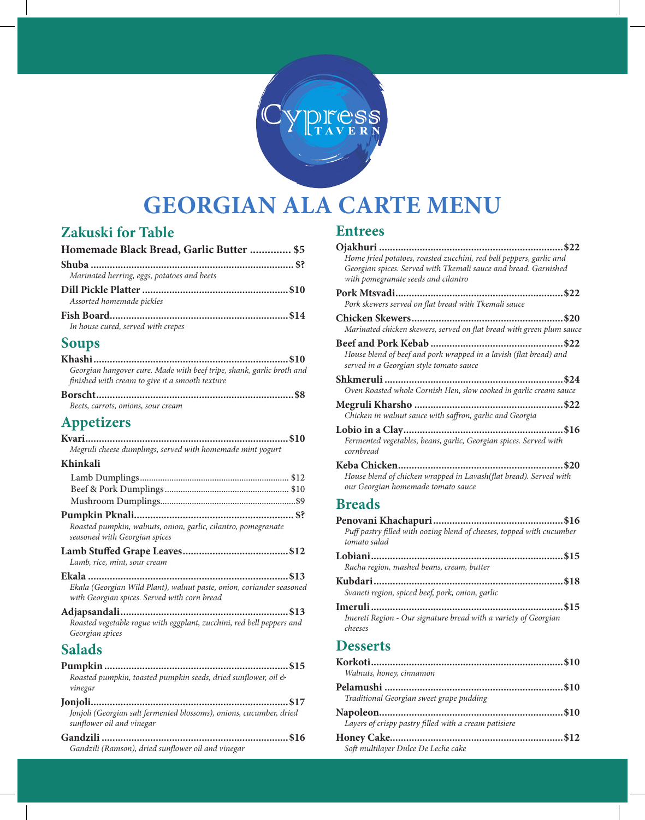

# **GEORGIAN ALA CARTE MENU**

# **Zakuski for Table**

| Homemade Black Bread, Garlic Butter  \$5    |  |
|---------------------------------------------|--|
|                                             |  |
| Marinated herring, eggs, potatoes and beets |  |
| Assorted homemade pickles                   |  |
| In house cured, served with crepes          |  |
| <b>Soups</b>                                |  |

#### **Soups**

| Georgian hangover cure. Made with beef tripe, shank, garlic broth and<br>finished with cream to give it a smooth texture |  |
|--------------------------------------------------------------------------------------------------------------------------|--|
|                                                                                                                          |  |

| Beets, carrots, onions, sour cream |  |
|------------------------------------|--|
|                                    |  |

# **Appetizers**

| Megruli cheese dumplings, served with homemade mint yogurt |  |  |
|------------------------------------------------------------|--|--|

#### **Khinkali**

| Roasted pumpkin, walnuts, onion, garlic, cilantro, pomegranate<br>seasoned with Georgian spices                      |
|----------------------------------------------------------------------------------------------------------------------|
| Lamb, rice, mint, sour cream                                                                                         |
| Ekala (Georgian Wild Plant), walnut paste, onion, coriander seasoned<br>with Georgian spices. Served with corn bread |
| Roasted vegetable rogue with eggplant, zucchini, red bell peppers and<br>Georgian spices                             |
| <b>Salads</b>                                                                                                        |
|                                                                                                                      |

#### **Pumpkin ....................................................................\$15** *Roasted pumpkin, toasted pumpkin seeds, dried sunflower, oil & vinegar*

| Jonjoli (Georgian salt fermented blossoms), onions, cucumber, dried |  |
|---------------------------------------------------------------------|--|
| sunflower oil and vinegar                                           |  |
|                                                                     |  |

*Gandzili (Ramson), dried sunflower oil and vinegar*

#### **Entrees**

| Home fried potatoes, roasted zucchini, red bell peppers, garlic and                                          |
|--------------------------------------------------------------------------------------------------------------|
| Georgian spices. Served with Tkemali sauce and bread. Garnished<br>with pomegranate seeds and cilantro       |
|                                                                                                              |
| Pork skewers served on flat bread with Tkemali sauce                                                         |
| Marinated chicken skewers, served on flat bread with green plum sauce                                        |
| House blend of beef and pork wrapped in a lavish (flat bread) and<br>served in a Georgian style tomato sauce |
| Oven Roasted whole Cornish Hen, slow cooked in garlic cream sauce                                            |
| Chicken in walnut sauce with saffron, garlic and Georgia                                                     |
| Fermented vegetables, beans, garlic, Georgian spices. Served with<br>cornbread                               |
| House blend of chicken wrapped in Lavash(flat bread). Served with<br>our Georgian homemade tomato sauce      |
| <b>Breads</b>                                                                                                |
|                                                                                                              |

| Puff pastry filled with oozing blend of cheeses, topped with cucumber<br>tomato salad |  |
|---------------------------------------------------------------------------------------|--|
|                                                                                       |  |
| Racha region, mashed beans, cream, butter                                             |  |
|                                                                                       |  |
| Svaneti region, spiced beef, pork, onion, garlic                                      |  |
|                                                                                       |  |
| Imereti Region - Our signature bread with a variety of Georgian<br>cheeses            |  |
| $\mathbf{D}$ associated                                                               |  |

#### **Desserts**

| Walnuts, honey, cinnamon                              |  |
|-------------------------------------------------------|--|
|                                                       |  |
| Traditional Georgian sweet grape pudding              |  |
| Layers of crispy pastry filled with a cream patisiere |  |
| Soft multilayer Dulce De Leche cake                   |  |